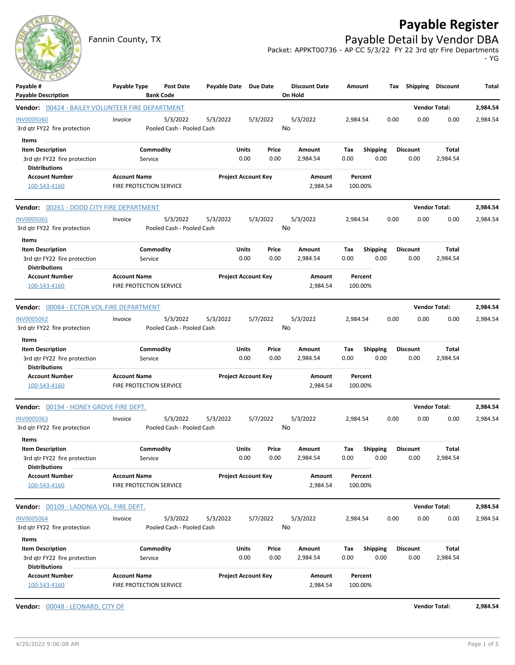# **Payable Register**

Fannin County, TX **Payable Detail by Vendor DBA** Packet: APPKT00736 - AP CC 5/3/22 FY 22 3rd qtr Fire Departments

- YG

| Payable #<br><b>Payable Description</b>                                                  | Payable Type                                   | Post Date<br><b>Bank Code</b>         | Payable Date Due Date |                            |               | <b>Discount Date</b><br>On Hold | Amount             |                         | Shipping<br>Tax         | Discount             | Total    |
|------------------------------------------------------------------------------------------|------------------------------------------------|---------------------------------------|-----------------------|----------------------------|---------------|---------------------------------|--------------------|-------------------------|-------------------------|----------------------|----------|
| <b>Vendor:</b> 00424 - BAILEY VOLUNTEER FIRE DEPARTMENT                                  |                                                |                                       |                       |                            |               |                                 |                    |                         |                         | <b>Vendor Total:</b> | 2,984.54 |
| <b>INV0005060</b><br>3rd qtr FY22 fire protection                                        | Invoice                                        | 5/3/2022<br>Pooled Cash - Pooled Cash | 5/3/2022              | 5/3/2022                   |               | 5/3/2022<br>No                  | 2,984.54           |                         | 0.00<br>0.00            | 0.00                 | 2,984.54 |
| Items<br><b>Item Description</b><br>3rd qtr FY22 fire protection<br><b>Distributions</b> | Service                                        | Commodity                             |                       | Units<br>0.00              | Price<br>0.00 | Amount<br>2,984.54              | Tax<br>0.00        | <b>Shipping</b><br>0.00 | Discount<br>0.00        | Total<br>2,984.54    |          |
| <b>Account Number</b><br>100-543-4160                                                    | <b>Account Name</b><br>FIRE PROTECTION SERVICE |                                       |                       | <b>Project Account Key</b> |               | Amount<br>2,984.54              | Percent<br>100.00% |                         |                         |                      |          |
| <b>Vendor:</b> 00261 - DODD CITY FIRE DEPARTMENT                                         |                                                |                                       |                       |                            |               |                                 |                    |                         |                         | <b>Vendor Total:</b> | 2,984.54 |
| <b>INV0005061</b><br>3rd qtr FY22 fire protection<br>Items                               | Invoice                                        | 5/3/2022<br>Pooled Cash - Pooled Cash | 5/3/2022              | 5/3/2022                   |               | 5/3/2022<br>No                  | 2,984.54           |                         | 0.00<br>0.00            | 0.00                 | 2,984.54 |
| <b>Item Description</b><br>3rd qtr FY22 fire protection<br><b>Distributions</b>          | Service                                        | Commodity                             |                       | Units<br>0.00              | Price<br>0.00 | Amount<br>2,984.54              | Tax<br>0.00        | <b>Shipping</b><br>0.00 | <b>Discount</b><br>0.00 | Total<br>2,984.54    |          |
| <b>Account Number</b><br>100-543-4160                                                    | <b>Account Name</b><br>FIRE PROTECTION SERVICE |                                       |                       | <b>Project Account Key</b> |               | Amount<br>2,984.54              | Percent<br>100.00% |                         |                         |                      |          |
| Vendor: 00084 - ECTOR VOL.FIRE DEPARTMENT                                                |                                                |                                       |                       |                            |               |                                 |                    |                         |                         | <b>Vendor Total:</b> | 2,984.54 |
| <b>INV0005062</b><br>3rd qtr FY22 fire protection                                        | Invoice                                        | 5/3/2022<br>Pooled Cash - Pooled Cash | 5/3/2022              | 5/7/2022                   |               | 5/3/2022<br>No                  | 2,984.54           |                         | 0.00<br>0.00            | 0.00                 | 2,984.54 |
| Items<br><b>Item Description</b><br>3rd gtr FY22 fire protection<br><b>Distributions</b> | Service                                        | Commodity                             |                       | Units<br>0.00              | Price<br>0.00 | Amount<br>2,984.54              | Tax<br>0.00        | <b>Shipping</b><br>0.00 | <b>Discount</b><br>0.00 | Total<br>2,984.54    |          |
| <b>Account Number</b><br>100-543-4160                                                    | <b>Account Name</b><br>FIRE PROTECTION SERVICE |                                       |                       | <b>Project Account Key</b> |               | Amount<br>2,984.54              | Percent<br>100.00% |                         |                         |                      |          |
| Vendor: 00194 - HONEY GROVE FIRE DEPT.                                                   |                                                |                                       |                       |                            |               |                                 |                    |                         |                         | <b>Vendor Total:</b> | 2,984.54 |
| <b>INV0005063</b><br>3rd qtr FY22 fire protection                                        | Invoice                                        | 5/3/2022<br>Pooled Cash - Pooled Cash | 5/3/2022              | 5/7/2022                   |               | 5/3/2022<br>No                  | 2,984.54           |                         | 0.00<br>0.00            | 0.00                 | 2,984.54 |
| Items<br><b>Item Description</b><br>3rd gtr FY22 fire protection<br><b>Distributions</b> | Service                                        | Commodity                             |                       | Units<br>0.00              | Price<br>0.00 | Amount<br>2,984.54              | Tax<br>0.00        | <b>Shipping</b><br>0.00 | <b>Discount</b><br>0.00 | Total<br>2,984.54    |          |
| <b>Account Number</b><br>100-543-4160                                                    | <b>Account Name</b><br>FIRE PROTECTION SERVICE |                                       |                       | <b>Project Account Key</b> |               | Amount<br>2,984.54              | Percent<br>100.00% |                         |                         |                      |          |
| <b>Vendor:</b> 00109 - LADONIA VOL. FIRE DEPT.                                           |                                                |                                       |                       |                            |               |                                 |                    |                         |                         | <b>Vendor Total:</b> | 2,984.54 |
| <b>INV0005064</b><br>3rd qtr FY22 fire protection                                        | Invoice                                        | 5/3/2022<br>Pooled Cash - Pooled Cash | 5/3/2022              | 5/7/2022                   |               | 5/3/2022<br>No                  | 2,984.54           |                         | 0.00<br>0.00            | 0.00                 | 2,984.54 |
| Items<br><b>Item Description</b><br>3rd qtr FY22 fire protection<br><b>Distributions</b> | Service                                        | Commodity                             |                       | Units<br>0.00              | Price<br>0.00 | Amount<br>2,984.54              | Tax<br>0.00        | Shipping<br>0.00        | <b>Discount</b><br>0.00 | Total<br>2,984.54    |          |
| <b>Account Number</b><br>100-543-4160                                                    | <b>Account Name</b><br>FIRE PROTECTION SERVICE |                                       |                       | <b>Project Account Key</b> |               | Amount<br>2,984.54              | Percent<br>100.00% |                         |                         |                      |          |

**Vendor:** 00048 - LEONARD, CITY OF **Vendor Total: 2,984.54**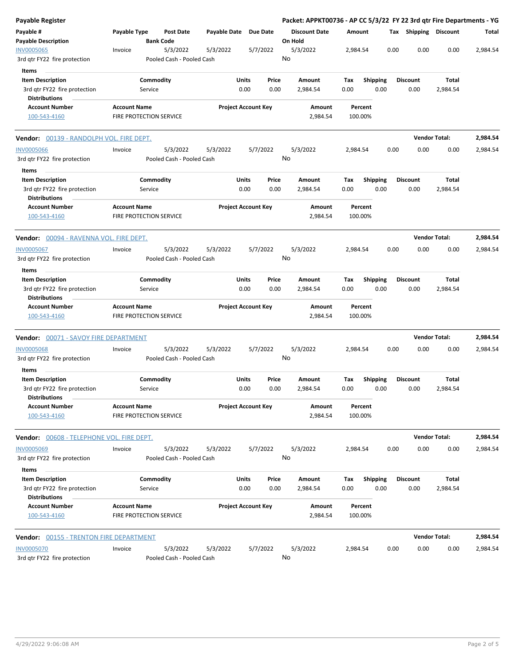| Payable Register                                                                |                                                |                                       |                            |                            |               | Packet: APPKT00736 - AP CC 5/3/22 FY 22 3rd qtr Fire Departments - YG |                    |                         |      |                         |                      |          |
|---------------------------------------------------------------------------------|------------------------------------------------|---------------------------------------|----------------------------|----------------------------|---------------|-----------------------------------------------------------------------|--------------------|-------------------------|------|-------------------------|----------------------|----------|
| Payable #<br><b>Payable Description</b>                                         | Payable Type                                   | Post Date<br><b>Bank Code</b>         | Payable Date Due Date      |                            |               | <b>Discount Date</b><br>On Hold                                       | Amount             |                         |      | Tax Shipping Discount   |                      | Total    |
| <b>INV0005065</b><br>3rd qtr FY22 fire protection                               | Invoice                                        | 5/3/2022<br>Pooled Cash - Pooled Cash | 5/3/2022                   |                            | 5/7/2022      | 5/3/2022<br>No                                                        | 2,984.54           |                         | 0.00 | 0.00                    | 0.00                 | 2,984.54 |
| Items                                                                           |                                                |                                       |                            |                            |               |                                                                       |                    |                         |      |                         |                      |          |
| <b>Item Description</b>                                                         |                                                | Commodity                             |                            | Units                      | Price         | Amount                                                                | Tax                | <b>Shipping</b>         |      | <b>Discount</b>         | Total                |          |
| 3rd qtr FY22 fire protection<br><b>Distributions</b>                            |                                                | Service                               |                            | 0.00                       | 0.00          | 2,984.54                                                              | 0.00               | 0.00                    |      | 0.00                    | 2,984.54             |          |
| <b>Account Number</b><br>100-543-4160                                           | <b>Account Name</b><br>FIRE PROTECTION SERVICE |                                       |                            | <b>Project Account Key</b> |               | Amount<br>2,984.54                                                    | Percent<br>100.00% |                         |      |                         |                      |          |
| <b>Vendor:</b> 00139 - RANDOLPH VOL. FIRE DEPT.                                 |                                                |                                       |                            |                            |               |                                                                       |                    |                         |      |                         | <b>Vendor Total:</b> | 2,984.54 |
| <b>INV0005066</b><br>3rd qtr FY22 fire protection<br>Items                      | Invoice                                        | 5/3/2022<br>Pooled Cash - Pooled Cash | 5/3/2022                   |                            | 5/7/2022      | 5/3/2022<br>No                                                        | 2,984.54           |                         | 0.00 | 0.00                    | 0.00                 | 2,984.54 |
| <b>Item Description</b><br>3rd qtr FY22 fire protection<br><b>Distributions</b> |                                                | Commodity<br>Service                  |                            | Units<br>0.00              | Price<br>0.00 | Amount<br>2,984.54                                                    | Tax<br>0.00        | Shipping<br>0.00        |      | <b>Discount</b><br>0.00 | Total<br>2,984.54    |          |
| <b>Account Number</b><br>100-543-4160                                           | <b>Account Name</b><br>FIRE PROTECTION SERVICE |                                       | <b>Project Account Key</b> |                            |               | Amount<br>2,984.54                                                    | Percent<br>100.00% |                         |      |                         |                      |          |
| <b>Vendor:</b> 00094 - RAVENNA VOL. FIRE DEPT.                                  |                                                |                                       |                            |                            |               |                                                                       |                    |                         |      |                         | <b>Vendor Total:</b> | 2,984.54 |
| <b>INV0005067</b><br>3rd qtr FY22 fire protection                               | Invoice                                        | 5/3/2022<br>Pooled Cash - Pooled Cash | 5/3/2022                   |                            | 5/7/2022      | 5/3/2022<br>No                                                        | 2,984.54           |                         | 0.00 | 0.00                    | 0.00                 | 2,984.54 |
| Items                                                                           |                                                |                                       |                            |                            |               |                                                                       |                    |                         |      |                         |                      |          |
| <b>Item Description</b><br>3rd qtr FY22 fire protection<br><b>Distributions</b> |                                                | Commodity<br>Service                  |                            | Units<br>0.00              | Price<br>0.00 | Amount<br>2,984.54                                                    | Tax<br>0.00        | <b>Shipping</b><br>0.00 |      | <b>Discount</b><br>0.00 | Total<br>2,984.54    |          |
| <b>Account Number</b><br>100-543-4160                                           | <b>Account Name</b><br>FIRE PROTECTION SERVICE |                                       |                            | <b>Project Account Key</b> |               | Amount<br>Percent<br>2,984.54<br>100.00%                              |                    |                         |      |                         |                      |          |
| Vendor: 00071 - SAVOY FIRE DEPARTMENT                                           |                                                |                                       |                            |                            |               |                                                                       |                    |                         |      |                         | <b>Vendor Total:</b> | 2,984.54 |
| <b>INV0005068</b><br>3rd gtr FY22 fire protection<br>Items                      | Invoice                                        | 5/3/2022<br>Pooled Cash - Pooled Cash | 5/3/2022                   |                            | 5/7/2022      | 5/3/2022<br>No                                                        | 2,984.54           |                         | 0.00 | 0.00                    | 0.00                 | 2,984.54 |
| <b>Item Description</b><br>3rd qtr FY22 fire protection<br><b>Distributions</b> |                                                | Commodity<br>Service                  |                            | Units<br>0.00              | Price<br>0.00 | Amount<br>2,984.54                                                    | Tax<br>0.00        | <b>Shipping</b><br>0.00 |      | <b>Discount</b><br>0.00 | Total<br>2,984.54    |          |
| <b>Account Number</b><br>100-543-4160                                           | <b>Account Name</b><br>FIRE PROTECTION SERVICE |                                       |                            | <b>Project Account Key</b> |               | Amount<br>2,984.54                                                    | Percent<br>100.00% |                         |      |                         |                      |          |
| Vendor: 00608 - TELEPHONE VOL. FIRE DEPT.                                       |                                                |                                       |                            |                            |               |                                                                       |                    |                         |      |                         | <b>Vendor Total:</b> | 2,984.54 |
| <b>INV0005069</b><br>3rd qtr FY22 fire protection                               | Invoice                                        | 5/3/2022<br>Pooled Cash - Pooled Cash | 5/3/2022                   |                            | 5/7/2022      | 5/3/2022<br>No                                                        | 2,984.54           |                         | 0.00 | 0.00                    | 0.00                 | 2,984.54 |
| Items<br><b>Item Description</b><br>3rd gtr FY22 fire protection                |                                                | Commodity<br>Service                  |                            | Units<br>0.00              | Price<br>0.00 | Amount<br>2,984.54                                                    | Tax<br>0.00        | Shipping<br>0.00        |      | <b>Discount</b><br>0.00 | Total<br>2,984.54    |          |
| <b>Distributions</b><br><b>Account Number</b><br>100-543-4160                   | <b>Account Name</b><br>FIRE PROTECTION SERVICE |                                       |                            | <b>Project Account Key</b> |               | Amount<br>2,984.54                                                    | Percent<br>100.00% |                         |      |                         |                      |          |
|                                                                                 |                                                |                                       |                            |                            |               |                                                                       |                    |                         |      |                         | <b>Vendor Total:</b> | 2,984.54 |
| <b>INV0005070</b><br>3rd qtr FY22 fire protection                               | Invoice                                        | 5/3/2022<br>Pooled Cash - Pooled Cash | 5/3/2022                   |                            | 5/7/2022      | 5/3/2022<br>No                                                        | 2,984.54           |                         | 0.00 | 0.00                    | 0.00                 | 2,984.54 |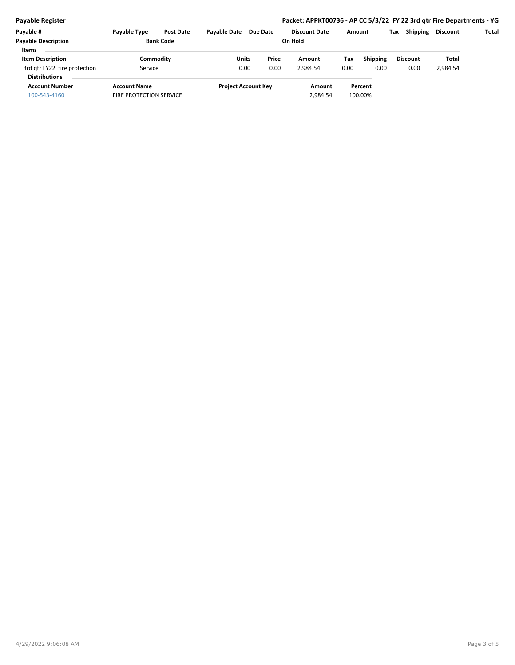**Payable Register Packet: APPKT00736 - AP CC 5/3/22 FY 22 3rd qtr Fire Departments - YG Payable # Payable Type Post Date Payable Date Due Date Payable Description Bank Code Discount Date Amount Tax Shipping Discount Total On Hold Units Item Description Price Amount Tax Items**

### 0.00 0.00 3rd qtr FY22 fire protection **1.000 Service 1.000 COO** 0.00 2,984.54 0.00 2,984.54 0.00 2,984.54 **Commodity Shipping Commodity Commodity Shipping Discount Total** Service 0.00 **Discount Account Number Account Name Project Account Key Amount Distributions Percent** 100-543-4160 FIRE PROTECTION SERVICE 2,984.54 100.00%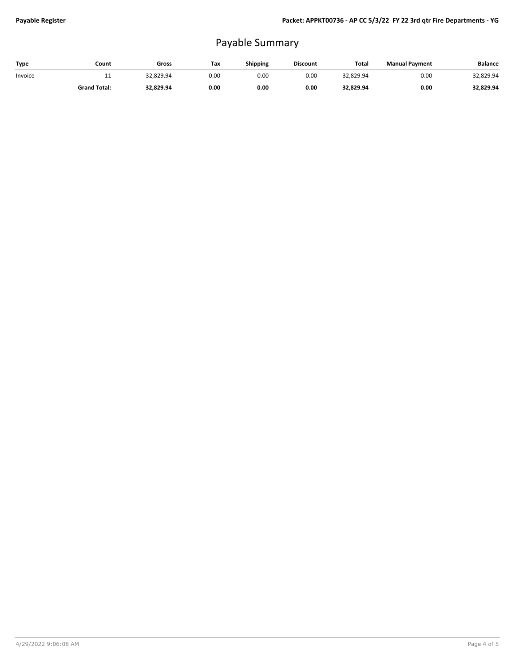## Payable Summary

| Type    | Count               | Gross     | Tax  | Shipping | <b>Discount</b> | Total     | <b>Manual Payment</b> | <b>Balance</b> |
|---------|---------------------|-----------|------|----------|-----------------|-----------|-----------------------|----------------|
| Invoice | . .                 | 32.829.94 | 0.00 | 0.00     | 0.00            | 32.829.94 | 0.00                  | 32,829.94      |
|         | <b>Grand Total:</b> | 32,829.94 | 0.00 | 0.00     | 0.00            | 32,829.94 | 0.00                  | 32,829.94      |